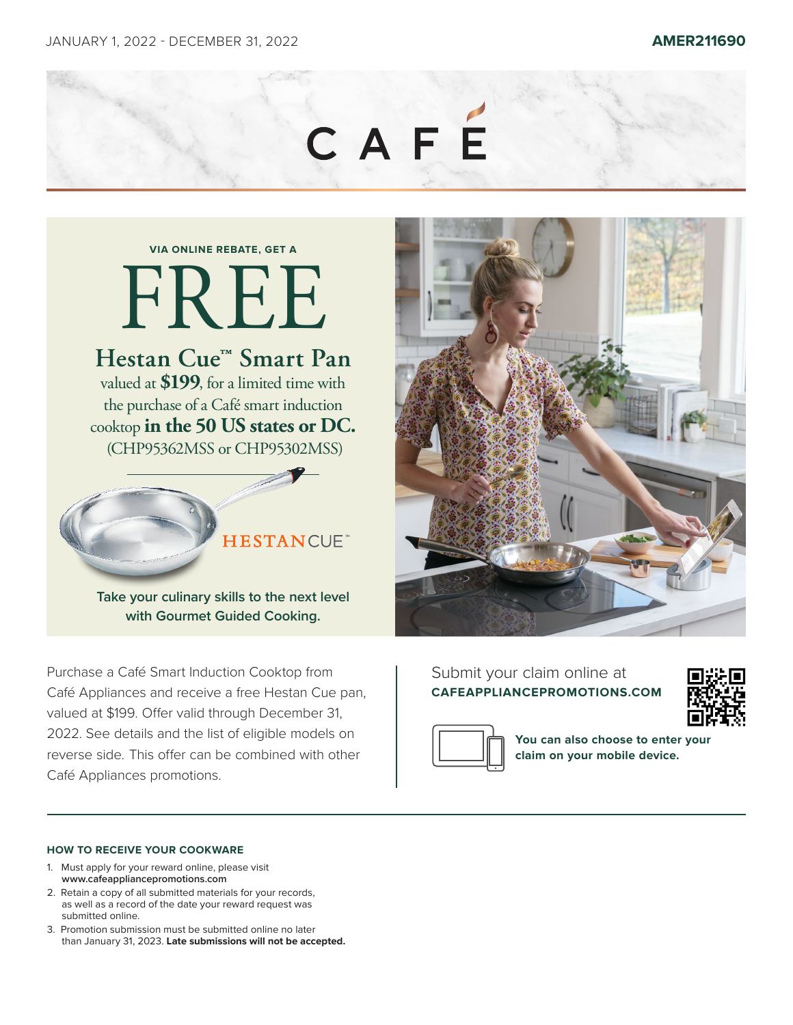

# **VIA ONLINE REBATE, GET A** FREE

## **Hestan Cue™ Smart Pan**

valued at **\$199**, for a limited time with the purchase of a Café smart induction cooktop **in the 50 US states or DC.** (CHP95362MSS or CHP95302MSS)

### **HESTANCUE**

**Take your culinary skills to the next level with Gourmet Guided Cooking.**

Purchase a Café Smart Induction Cooktop from Café Appliances and receive a free Hestan Cue pan, valued at \$199. Offer valid through December 31, 2022. See details and the list of eligible models on reverse side. This offer can be combined with other Café Appliances promotions.



#### Submit your claim online at **CAFEAPPLIANCEPROMOTIONS.COM**





**You can also choose to enter your claim on your mobile device.**

#### **HOW TO RECEIVE YOUR COOKWARE**

- 1. Must apply for your reward online, please visit **www.cafeappliancepromotions.com**
- 2. Retain a copy of all submitted materials for your records, as well as a record of the date your reward request was submitted online.
- 3. Promotion submission must be submitted online no later than January 31, 2023. **Late submissions will not be accepted.**